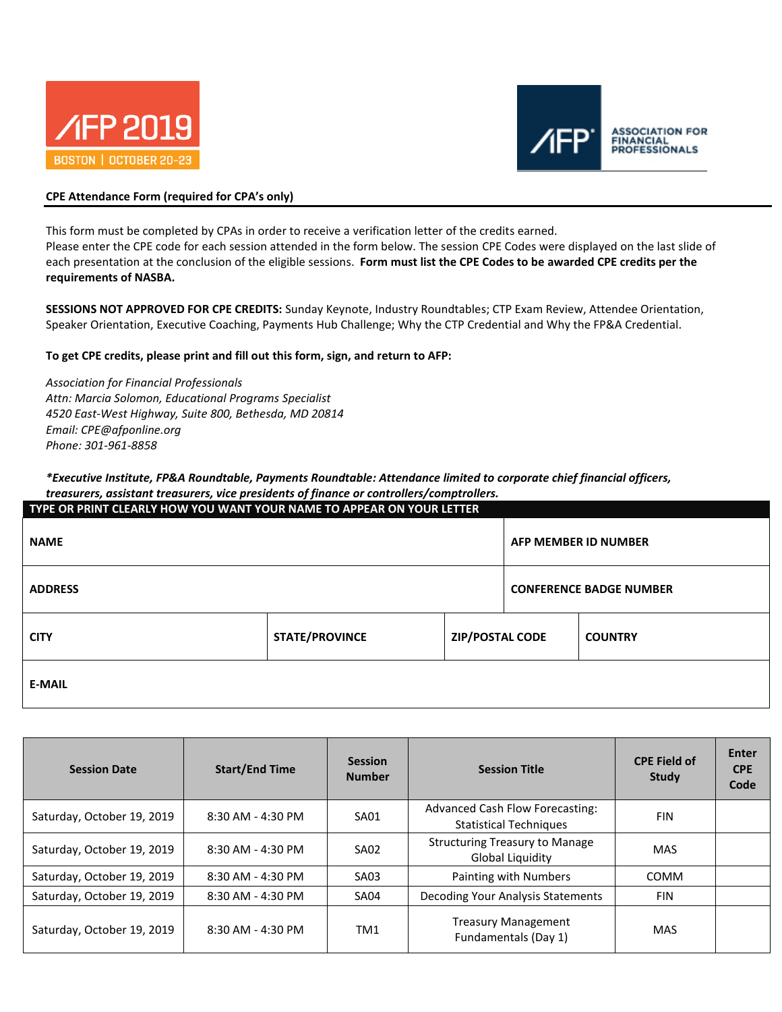



## **CPE Attendance Form (required for CPA's only)**

This form must be completed by CPAs in order to receive a verification letter of the credits earned.

Please enter the CPE code for each session attended in the form below. The session CPE Codes were displayed on the last slide of each presentation at the conclusion of the eligible sessions. **Form must list the CPE Codes to be awarded CPE credits per the requirements of NASBA.** 

**SESSIONS NOT APPROVED FOR CPE CREDITS:** Sunday Keynote, Industry Roundtables; CTP Exam Review, Attendee Orientation, Speaker Orientation, Executive Coaching, Payments Hub Challenge; Why the CTP Credential and Why the FP&A Credential.

### **To get CPE credits, please print and fill out this form, sign, and return to AFP:**

*Association for Financial Professionals Attn: Marcia Solomon, Educational Programs Specialist 4520 East-West Highway, Suite 800, Bethesda, MD 20814 Email: CPE@afponline.org Phone: 301-961-8858*

### *\*Executive Institute, FP&A Roundtable, Payments Roundtable: Attendance limited to corporate chief financial officers, treasurers, assistant treasurers, vice presidents of finance or controllers/comptrollers.*

| TYPE OR PRINT CLEARLY HOW YOU WANT YOUR NAME TO APPEAR ON YOUR LETTER |                       |                        |  |                                |  |  |
|-----------------------------------------------------------------------|-----------------------|------------------------|--|--------------------------------|--|--|
| <b>NAME</b>                                                           |                       |                        |  | <b>AFP MEMBER ID NUMBER</b>    |  |  |
| <b>ADDRESS</b>                                                        |                       |                        |  | <b>CONFERENCE BADGE NUMBER</b> |  |  |
| <b>CITY</b>                                                           | <b>STATE/PROVINCE</b> | <b>ZIP/POSTAL CODE</b> |  | <b>COUNTRY</b>                 |  |  |
| <b>E-MAIL</b>                                                         |                       |                        |  |                                |  |  |

| <b>Session Date</b>        | <b>Start/End Time</b> | <b>Session</b><br><b>Number</b> | <b>Session Title</b>                                             | <b>CPE Field of</b><br>Study | Enter<br><b>CPE</b><br>Code |
|----------------------------|-----------------------|---------------------------------|------------------------------------------------------------------|------------------------------|-----------------------------|
| Saturday, October 19, 2019 | 8:30 AM - 4:30 PM     | <b>SA01</b>                     | Advanced Cash Flow Forecasting:<br><b>Statistical Techniques</b> | <b>FIN</b>                   |                             |
| Saturday, October 19, 2019 | 8:30 AM - 4:30 PM     | <b>SA02</b>                     | <b>Structuring Treasury to Manage</b><br>Global Liquidity        | <b>MAS</b>                   |                             |
| Saturday, October 19, 2019 | 8:30 AM - 4:30 PM     | SA03                            | Painting with Numbers                                            | <b>COMM</b>                  |                             |
| Saturday, October 19, 2019 | 8:30 AM - 4:30 PM     | <b>SA04</b>                     | Decoding Your Analysis Statements                                | <b>FIN</b>                   |                             |
| Saturday, October 19, 2019 | 8:30 AM - 4:30 PM     | TM <sub>1</sub>                 | <b>Treasury Management</b><br>Fundamentals (Day 1)               | MAS                          |                             |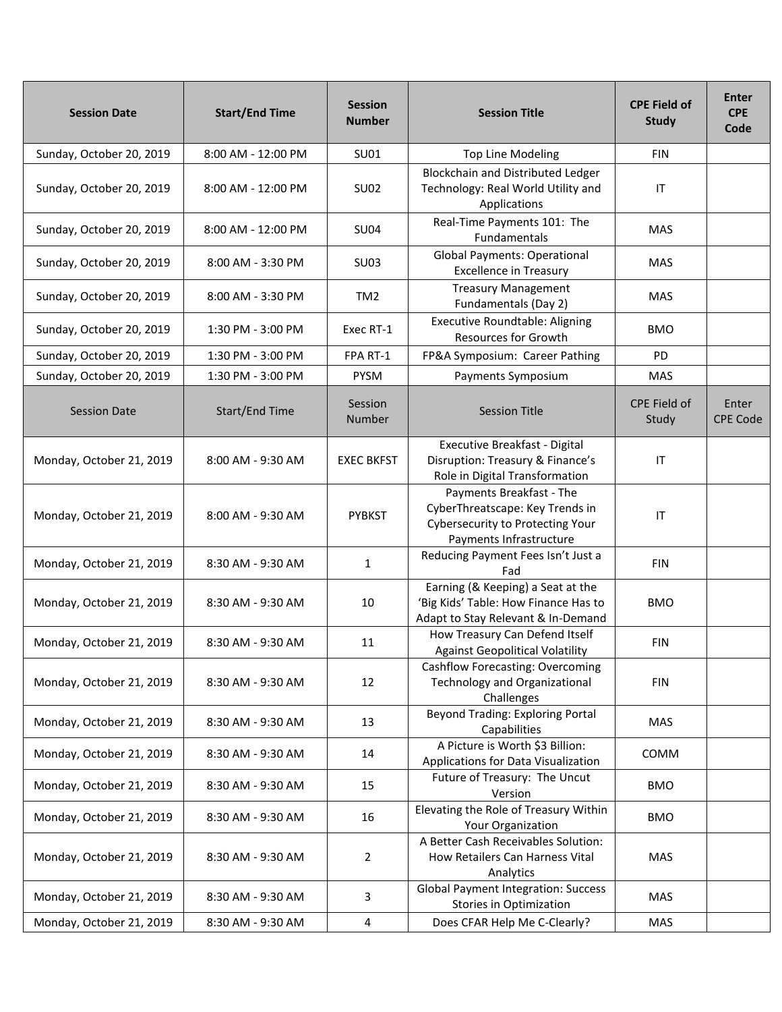| <b>Session Date</b>      | <b>Start/End Time</b> | <b>Session</b><br><b>Number</b> | <b>Session Title</b>                                                                                                       | <b>CPE Field of</b><br><b>Study</b> | Enter<br><b>CPE</b><br>Code |
|--------------------------|-----------------------|---------------------------------|----------------------------------------------------------------------------------------------------------------------------|-------------------------------------|-----------------------------|
| Sunday, October 20, 2019 | 8:00 AM - 12:00 PM    | SU01                            | <b>Top Line Modeling</b>                                                                                                   | <b>FIN</b>                          |                             |
| Sunday, October 20, 2019 | 8:00 AM - 12:00 PM    | <b>SU02</b>                     | Blockchain and Distributed Ledger<br>Technology: Real World Utility and<br>Applications                                    | IT                                  |                             |
| Sunday, October 20, 2019 | 8:00 AM - 12:00 PM    | <b>SU04</b>                     | Real-Time Payments 101: The<br><b>Fundamentals</b>                                                                         | <b>MAS</b>                          |                             |
| Sunday, October 20, 2019 | 8:00 AM - 3:30 PM     | <b>SU03</b>                     | <b>Global Payments: Operational</b><br><b>Excellence in Treasury</b>                                                       | MAS                                 |                             |
| Sunday, October 20, 2019 | 8:00 AM - 3:30 PM     | TM <sub>2</sub>                 | <b>Treasury Management</b><br>Fundamentals (Day 2)                                                                         | <b>MAS</b>                          |                             |
| Sunday, October 20, 2019 | 1:30 PM - 3:00 PM     | Exec RT-1                       | <b>Executive Roundtable: Aligning</b><br><b>Resources for Growth</b>                                                       | <b>BMO</b>                          |                             |
| Sunday, October 20, 2019 | 1:30 PM - 3:00 PM     | FPA RT-1                        | FP&A Symposium: Career Pathing                                                                                             | <b>PD</b>                           |                             |
| Sunday, October 20, 2019 | 1:30 PM - 3:00 PM     | <b>PYSM</b>                     | Payments Symposium                                                                                                         | <b>MAS</b>                          |                             |
| <b>Session Date</b>      | Start/End Time        | Session<br>Number               | <b>Session Title</b>                                                                                                       | CPE Field of<br>Study               | Enter<br><b>CPE Code</b>    |
| Monday, October 21, 2019 | 8:00 AM - 9:30 AM     | <b>EXEC BKFST</b>               | Executive Breakfast - Digital<br>Disruption: Treasury & Finance's<br>Role in Digital Transformation                        | IT                                  |                             |
| Monday, October 21, 2019 | 8:00 AM - 9:30 AM     | <b>PYBKST</b>                   | Payments Breakfast - The<br>CyberThreatscape: Key Trends in<br>Cybersecurity to Protecting Your<br>Payments Infrastructure | IT                                  |                             |
| Monday, October 21, 2019 | 8:30 AM - 9:30 AM     | 1                               | Reducing Payment Fees Isn't Just a<br>Fad                                                                                  | <b>FIN</b>                          |                             |
| Monday, October 21, 2019 | 8:30 AM - 9:30 AM     | 10                              | Earning (& Keeping) a Seat at the<br>'Big Kids' Table: How Finance Has to<br>Adapt to Stay Relevant & In-Demand            | <b>BMO</b>                          |                             |
| Monday, October 21, 2019 | 8:30 AM - 9:30 AM     | 11                              | How Treasury Can Defend Itself<br><b>Against Geopolitical Volatility</b>                                                   | <b>FIN</b>                          |                             |
| Monday, October 21, 2019 | 8:30 AM - 9:30 AM     | 12                              | <b>Cashflow Forecasting: Overcoming</b><br><b>Technology and Organizational</b><br>Challenges                              | <b>FIN</b>                          |                             |
| Monday, October 21, 2019 | 8:30 AM - 9:30 AM     | 13                              | <b>Beyond Trading: Exploring Portal</b><br>Capabilities                                                                    | <b>MAS</b>                          |                             |
| Monday, October 21, 2019 | 8:30 AM - 9:30 AM     | 14                              | A Picture is Worth \$3 Billion:<br>Applications for Data Visualization                                                     | <b>COMM</b>                         |                             |
| Monday, October 21, 2019 | 8:30 AM - 9:30 AM     | 15                              | Future of Treasury: The Uncut<br>Version                                                                                   | <b>BMO</b>                          |                             |
| Monday, October 21, 2019 | 8:30 AM - 9:30 AM     | 16                              | Elevating the Role of Treasury Within<br>Your Organization                                                                 | <b>BMO</b>                          |                             |
| Monday, October 21, 2019 | 8:30 AM - 9:30 AM     | 2                               | A Better Cash Receivables Solution:<br>How Retailers Can Harness Vital<br>Analytics                                        | <b>MAS</b>                          |                             |
| Monday, October 21, 2019 | 8:30 AM - 9:30 AM     | 3                               | <b>Global Payment Integration: Success</b><br>Stories in Optimization                                                      | <b>MAS</b>                          |                             |
| Monday, October 21, 2019 | 8:30 AM - 9:30 AM     | 4                               | Does CFAR Help Me C-Clearly?                                                                                               | MAS                                 |                             |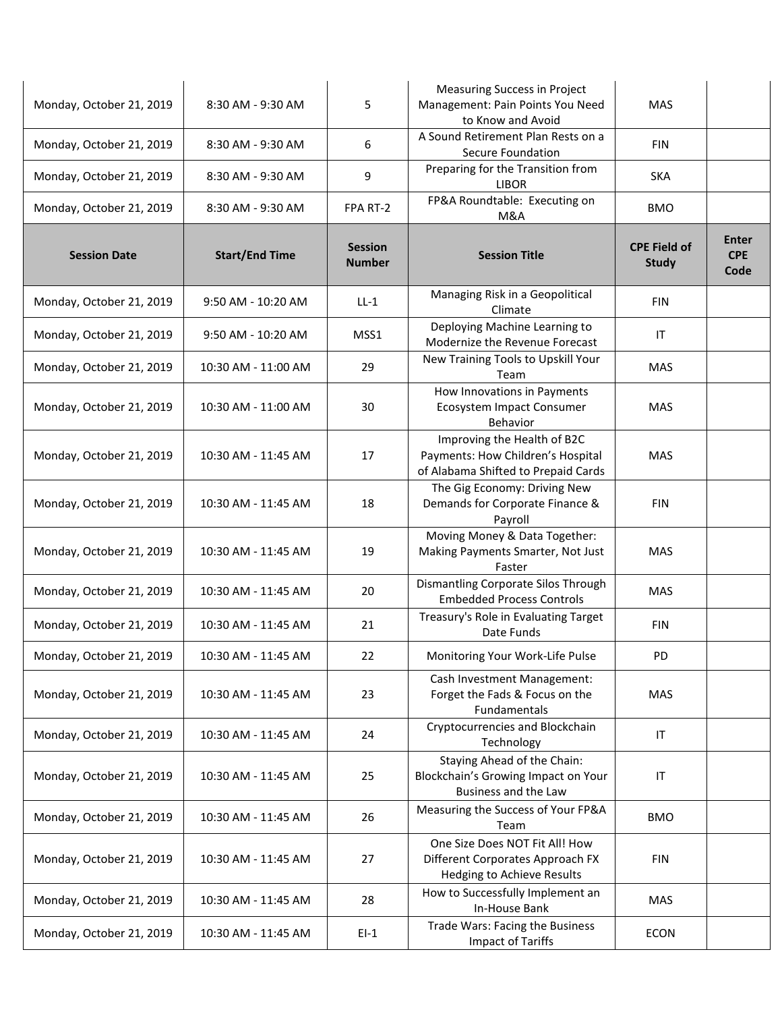| Monday, October 21, 2019 | 8:30 AM - 9:30 AM     | 5                               | Measuring Success in Project<br>Management: Pain Points You Need<br>to Know and Avoid                   | MAS                                 |                                    |
|--------------------------|-----------------------|---------------------------------|---------------------------------------------------------------------------------------------------------|-------------------------------------|------------------------------------|
| Monday, October 21, 2019 | 8:30 AM - 9:30 AM     | 6                               | A Sound Retirement Plan Rests on a<br>Secure Foundation                                                 | FIN                                 |                                    |
| Monday, October 21, 2019 | 8:30 AM - 9:30 AM     | 9                               | Preparing for the Transition from<br><b>LIBOR</b>                                                       | <b>SKA</b>                          |                                    |
| Monday, October 21, 2019 | 8:30 AM - 9:30 AM     | FPA RT-2                        | FP&A Roundtable: Executing on<br>M&A                                                                    | <b>BMO</b>                          |                                    |
| <b>Session Date</b>      | <b>Start/End Time</b> | <b>Session</b><br><b>Number</b> | <b>Session Title</b>                                                                                    | <b>CPE Field of</b><br><b>Study</b> | <b>Enter</b><br><b>CPE</b><br>Code |
| Monday, October 21, 2019 | 9:50 AM - 10:20 AM    | $LL-1$                          | Managing Risk in a Geopolitical<br>Climate                                                              | <b>FIN</b>                          |                                    |
| Monday, October 21, 2019 | 9:50 AM - 10:20 AM    | MSS1                            | Deploying Machine Learning to<br>Modernize the Revenue Forecast                                         | IT                                  |                                    |
| Monday, October 21, 2019 | 10:30 AM - 11:00 AM   | 29                              | New Training Tools to Upskill Your<br>Team                                                              | <b>MAS</b>                          |                                    |
| Monday, October 21, 2019 | 10:30 AM - 11:00 AM   | 30                              | How Innovations in Payments<br><b>Ecosystem Impact Consumer</b><br>Behavior                             | <b>MAS</b>                          |                                    |
| Monday, October 21, 2019 | 10:30 AM - 11:45 AM   | 17                              | Improving the Health of B2C<br>Payments: How Children's Hospital<br>of Alabama Shifted to Prepaid Cards | MAS                                 |                                    |
| Monday, October 21, 2019 | 10:30 AM - 11:45 AM   | 18                              | The Gig Economy: Driving New<br>Demands for Corporate Finance &<br>Payroll                              | <b>FIN</b>                          |                                    |
| Monday, October 21, 2019 | 10:30 AM - 11:45 AM   | 19                              | Moving Money & Data Together:<br>Making Payments Smarter, Not Just<br>Faster                            | <b>MAS</b>                          |                                    |
| Monday, October 21, 2019 | 10:30 AM - 11:45 AM   | 20                              | Dismantling Corporate Silos Through<br><b>Embedded Process Controls</b>                                 | <b>MAS</b>                          |                                    |
| Monday, October 21, 2019 | 10:30 AM - 11:45 AM   | 21                              | Treasury's Role in Evaluating Target<br>Date Funds                                                      | FIN                                 |                                    |
| Monday, October 21, 2019 | 10:30 AM - 11:45 AM   | 22                              | Monitoring Your Work-Life Pulse                                                                         | PD                                  |                                    |
| Monday, October 21, 2019 | 10:30 AM - 11:45 AM   | 23                              | Cash Investment Management:<br>Forget the Fads & Focus on the<br>Fundamentals                           | MAS                                 |                                    |
| Monday, October 21, 2019 | 10:30 AM - 11:45 AM   | 24                              | Cryptocurrencies and Blockchain<br>Technology                                                           | IT                                  |                                    |
| Monday, October 21, 2019 | 10:30 AM - 11:45 AM   | 25                              | Staying Ahead of the Chain:<br>Blockchain's Growing Impact on Your<br>Business and the Law              | IT                                  |                                    |
| Monday, October 21, 2019 | 10:30 AM - 11:45 AM   | 26                              | Measuring the Success of Your FP&A<br>Team                                                              | <b>BMO</b>                          |                                    |
| Monday, October 21, 2019 | 10:30 AM - 11:45 AM   | 27                              | One Size Does NOT Fit All! How<br>Different Corporates Approach FX<br>Hedging to Achieve Results        | <b>FIN</b>                          |                                    |
| Monday, October 21, 2019 | 10:30 AM - 11:45 AM   | 28                              | How to Successfully Implement an<br>In-House Bank                                                       | <b>MAS</b>                          |                                    |
| Monday, October 21, 2019 | 10:30 AM - 11:45 AM   | $EI-1$                          | Trade Wars: Facing the Business<br>Impact of Tariffs                                                    | <b>ECON</b>                         |                                    |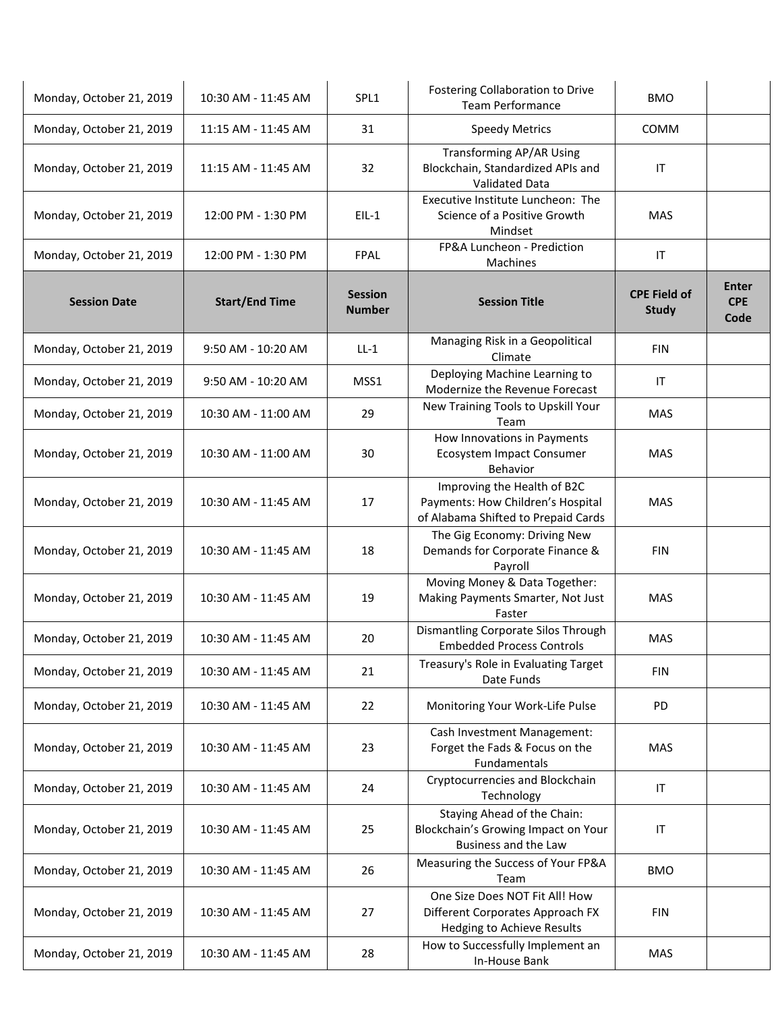| Monday, October 21, 2019 | 10:30 AM - 11:45 AM   | SPL1                            | Fostering Collaboration to Drive<br>Team Performance                                                    | <b>BMO</b>                          |                                    |
|--------------------------|-----------------------|---------------------------------|---------------------------------------------------------------------------------------------------------|-------------------------------------|------------------------------------|
| Monday, October 21, 2019 | 11:15 AM - 11:45 AM   | 31                              | <b>Speedy Metrics</b>                                                                                   | <b>COMM</b>                         |                                    |
| Monday, October 21, 2019 | 11:15 AM - 11:45 AM   | 32                              | <b>Transforming AP/AR Using</b><br>Blockchain, Standardized APIs and<br><b>Validated Data</b>           | IT                                  |                                    |
| Monday, October 21, 2019 | 12:00 PM - 1:30 PM    | $EIL-1$                         | Executive Institute Luncheon: The<br>Science of a Positive Growth<br>Mindset                            | <b>MAS</b>                          |                                    |
| Monday, October 21, 2019 | 12:00 PM - 1:30 PM    | FPAL                            | FP&A Luncheon - Prediction<br>Machines                                                                  | IT                                  |                                    |
| <b>Session Date</b>      | <b>Start/End Time</b> | <b>Session</b><br><b>Number</b> | <b>Session Title</b>                                                                                    | <b>CPE Field of</b><br><b>Study</b> | <b>Enter</b><br><b>CPE</b><br>Code |
| Monday, October 21, 2019 | 9:50 AM - 10:20 AM    | $LL-1$                          | Managing Risk in a Geopolitical<br>Climate                                                              | FIN                                 |                                    |
| Monday, October 21, 2019 | 9:50 AM - 10:20 AM    | MSS1                            | Deploying Machine Learning to<br>Modernize the Revenue Forecast                                         | ΙT                                  |                                    |
| Monday, October 21, 2019 | 10:30 AM - 11:00 AM   | 29                              | New Training Tools to Upskill Your<br>Team                                                              | <b>MAS</b>                          |                                    |
| Monday, October 21, 2019 | 10:30 AM - 11:00 AM   | 30                              | How Innovations in Payments<br>Ecosystem Impact Consumer<br>Behavior                                    | <b>MAS</b>                          |                                    |
| Monday, October 21, 2019 | 10:30 AM - 11:45 AM   | 17                              | Improving the Health of B2C<br>Payments: How Children's Hospital<br>of Alabama Shifted to Prepaid Cards | MAS                                 |                                    |
| Monday, October 21, 2019 | 10:30 AM - 11:45 AM   | 18                              | The Gig Economy: Driving New<br>Demands for Corporate Finance &<br>Payroll                              | <b>FIN</b>                          |                                    |
| Monday, October 21, 2019 | 10:30 AM - 11:45 AM   | 19                              | Moving Money & Data Together:<br>Making Payments Smarter, Not Just<br>Faster                            | <b>MAS</b>                          |                                    |
| Monday, October 21, 2019 | 10:30 AM - 11:45 AM   | 20                              | Dismantling Corporate Silos Through<br><b>Embedded Process Controls</b>                                 | <b>MAS</b>                          |                                    |
| Monday, October 21, 2019 | 10:30 AM - 11:45 AM   | 21                              | Treasury's Role in Evaluating Target<br>Date Funds                                                      | <b>FIN</b>                          |                                    |
| Monday, October 21, 2019 | 10:30 AM - 11:45 AM   | 22                              | Monitoring Your Work-Life Pulse                                                                         | <b>PD</b>                           |                                    |
| Monday, October 21, 2019 | 10:30 AM - 11:45 AM   | 23                              | Cash Investment Management:<br>Forget the Fads & Focus on the<br>Fundamentals                           | <b>MAS</b>                          |                                    |
| Monday, October 21, 2019 | 10:30 AM - 11:45 AM   | 24                              | Cryptocurrencies and Blockchain<br>Technology                                                           | IT                                  |                                    |
| Monday, October 21, 2019 | 10:30 AM - 11:45 AM   | 25                              | Staying Ahead of the Chain:<br>Blockchain's Growing Impact on Your<br>Business and the Law              | $\mathsf{I}\mathsf{T}$              |                                    |
| Monday, October 21, 2019 | 10:30 AM - 11:45 AM   | 26                              | Measuring the Success of Your FP&A<br>Team                                                              | <b>BMO</b>                          |                                    |
| Monday, October 21, 2019 | 10:30 AM - 11:45 AM   | 27                              | One Size Does NOT Fit All! How<br>Different Corporates Approach FX<br>Hedging to Achieve Results        | <b>FIN</b>                          |                                    |
| Monday, October 21, 2019 | 10:30 AM - 11:45 AM   | 28                              | How to Successfully Implement an<br>In-House Bank                                                       | <b>MAS</b>                          |                                    |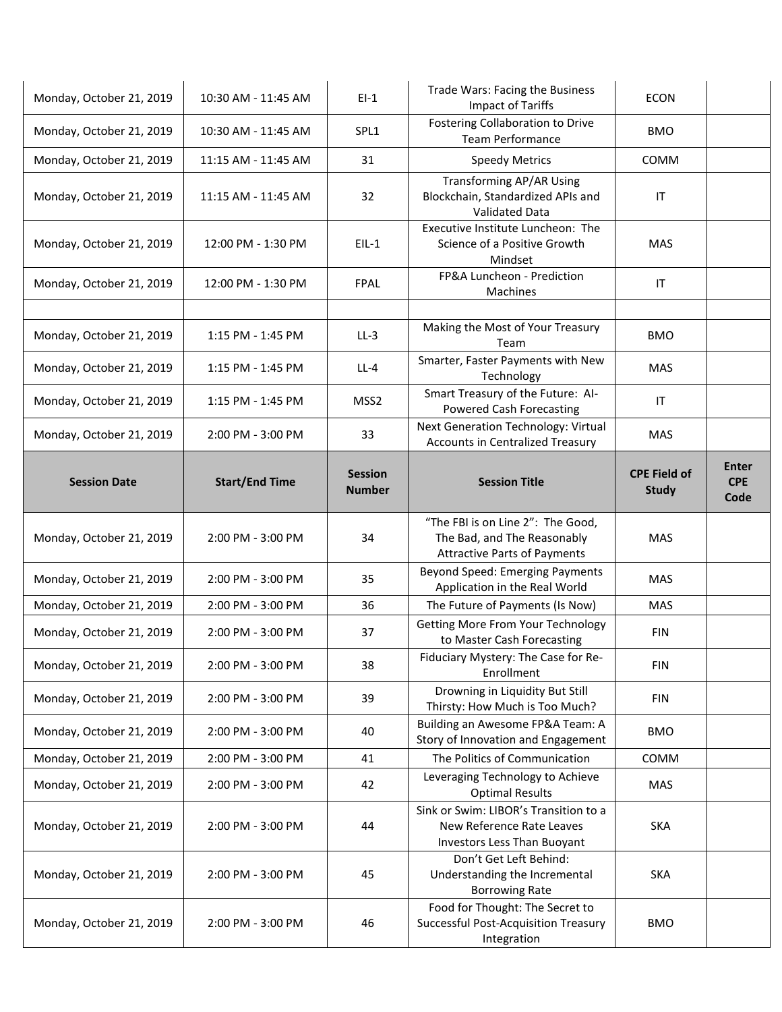| Monday, October 21, 2019 | 10:30 AM - 11:45 AM   | $EI-1$                          | Trade Wars: Facing the Business<br><b>Impact of Tariffs</b>                                             | <b>ECON</b>                         |                                    |
|--------------------------|-----------------------|---------------------------------|---------------------------------------------------------------------------------------------------------|-------------------------------------|------------------------------------|
| Monday, October 21, 2019 | 10:30 AM - 11:45 AM   | SPL1                            | <b>Fostering Collaboration to Drive</b><br>Team Performance                                             | <b>BMO</b>                          |                                    |
| Monday, October 21, 2019 | 11:15 AM - 11:45 AM   | 31                              | <b>Speedy Metrics</b>                                                                                   | COMM                                |                                    |
| Monday, October 21, 2019 | 11:15 AM - 11:45 AM   | 32                              | <b>Transforming AP/AR Using</b><br>Blockchain, Standardized APIs and<br><b>Validated Data</b>           | IT                                  |                                    |
| Monday, October 21, 2019 | 12:00 PM - 1:30 PM    | $EIL-1$                         | Executive Institute Luncheon: The<br>Science of a Positive Growth<br>Mindset                            | MAS                                 |                                    |
| Monday, October 21, 2019 | 12:00 PM - 1:30 PM    | <b>FPAL</b>                     | FP&A Luncheon - Prediction<br>Machines                                                                  | IT                                  |                                    |
| Monday, October 21, 2019 | 1:15 PM - 1:45 PM     | $LL-3$                          | Making the Most of Your Treasury<br>Team                                                                | <b>BMO</b>                          |                                    |
| Monday, October 21, 2019 | 1:15 PM - 1:45 PM     | $LL-4$                          | Smarter, Faster Payments with New<br>Technology                                                         | <b>MAS</b>                          |                                    |
| Monday, October 21, 2019 | 1:15 PM - 1:45 PM     | MSS <sub>2</sub>                | Smart Treasury of the Future: Al-<br><b>Powered Cash Forecasting</b>                                    | IT                                  |                                    |
| Monday, October 21, 2019 | $2:00$ PM - $3:00$ PM | 33                              | Next Generation Technology: Virtual<br>Accounts in Centralized Treasury                                 | <b>MAS</b>                          |                                    |
| <b>Session Date</b>      | <b>Start/End Time</b> | <b>Session</b><br><b>Number</b> | <b>Session Title</b>                                                                                    | <b>CPE Field of</b><br><b>Study</b> | <b>Enter</b><br><b>CPE</b><br>Code |
| Monday, October 21, 2019 | 2:00 PM - 3:00 PM     | 34                              | "The FBI is on Line 2": The Good,<br>The Bad, and The Reasonably<br><b>Attractive Parts of Payments</b> | <b>MAS</b>                          |                                    |
| Monday, October 21, 2019 | 2:00 PM - 3:00 PM     | 35                              | Beyond Speed: Emerging Payments<br>Application in the Real World                                        | <b>MAS</b>                          |                                    |
| Monday, October 21, 2019 | 2:00 PM - 3:00 PM     | 36                              | The Future of Payments (Is Now)                                                                         | <b>MAS</b>                          |                                    |
| Monday, October 21, 2019 | 2:00 PM - 3:00 PM     | 37                              | <b>Getting More From Your Technology</b><br>to Master Cash Forecasting                                  | <b>FIN</b>                          |                                    |
| Monday, October 21, 2019 | 2:00 PM - 3:00 PM     | 38                              | Fiduciary Mystery: The Case for Re-<br>Enrollment                                                       | <b>FIN</b>                          |                                    |
| Monday, October 21, 2019 | 2:00 PM - 3:00 PM     | 39                              | Drowning in Liquidity But Still<br>Thirsty: How Much is Too Much?                                       | <b>FIN</b>                          |                                    |
| Monday, October 21, 2019 | 2:00 PM - 3:00 PM     | 40                              | Building an Awesome FP&A Team: A<br>Story of Innovation and Engagement                                  | <b>BMO</b>                          |                                    |
| Monday, October 21, 2019 | 2:00 PM - 3:00 PM     | 41                              | The Politics of Communication                                                                           | COMM                                |                                    |
| Monday, October 21, 2019 | 2:00 PM - 3:00 PM     | 42                              | Leveraging Technology to Achieve<br><b>Optimal Results</b>                                              | MAS                                 |                                    |
| Monday, October 21, 2019 | 2:00 PM - 3:00 PM     | 44                              | Sink or Swim: LIBOR's Transition to a<br>New Reference Rate Leaves<br>Investors Less Than Buoyant       | <b>SKA</b>                          |                                    |
| Monday, October 21, 2019 | 2:00 PM - 3:00 PM     | 45                              | Don't Get Left Behind:<br>Understanding the Incremental<br><b>Borrowing Rate</b>                        | <b>SKA</b>                          |                                    |
| Monday, October 21, 2019 | 2:00 PM - 3:00 PM     | 46                              | Food for Thought: The Secret to<br><b>Successful Post-Acquisition Treasury</b><br>Integration           | <b>BMO</b>                          |                                    |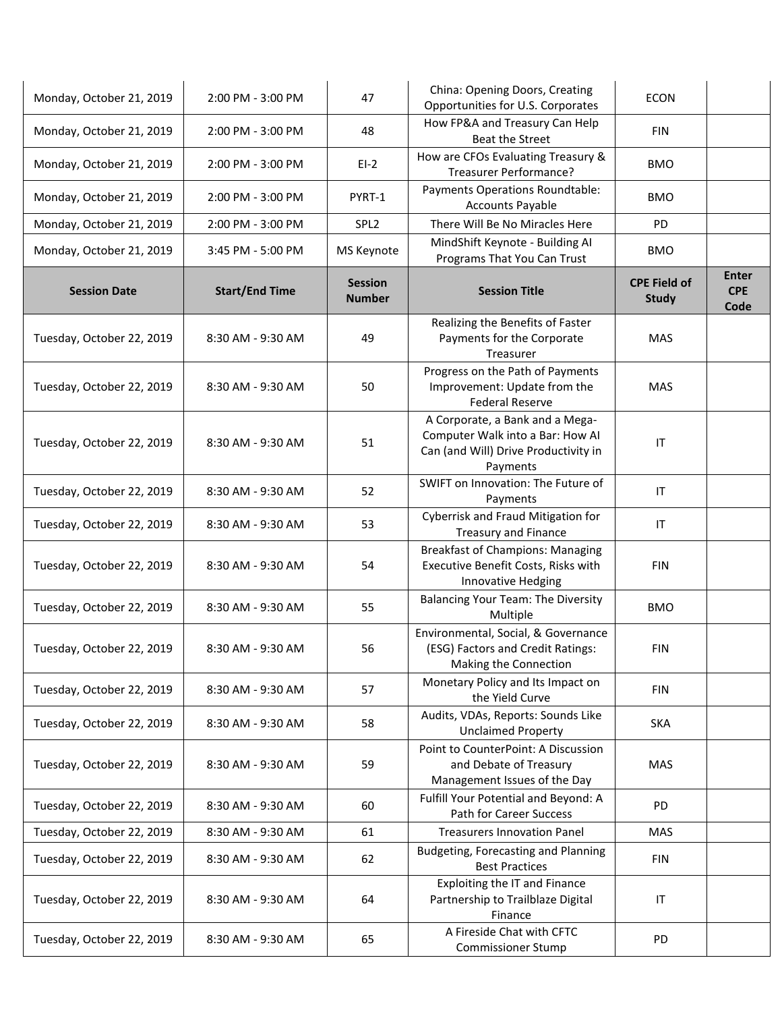| Monday, October 21, 2019  | 2:00 PM - 3:00 PM     | 47                              | China: Opening Doors, Creating<br>Opportunities for U.S. Corporates                                                     | <b>ECON</b>                         |                                    |
|---------------------------|-----------------------|---------------------------------|-------------------------------------------------------------------------------------------------------------------------|-------------------------------------|------------------------------------|
| Monday, October 21, 2019  | 2:00 PM - 3:00 PM     | 48                              | How FP&A and Treasury Can Help<br><b>Beat the Street</b>                                                                | <b>FIN</b>                          |                                    |
| Monday, October 21, 2019  | 2:00 PM - 3:00 PM     | $E1-2$                          | How are CFOs Evaluating Treasury &<br>Treasurer Performance?                                                            | <b>BMO</b>                          |                                    |
| Monday, October 21, 2019  | 2:00 PM - 3:00 PM     | PYRT-1                          | Payments Operations Roundtable:<br><b>Accounts Payable</b>                                                              | <b>BMO</b>                          |                                    |
| Monday, October 21, 2019  | 2:00 PM - 3:00 PM     | SPL <sub>2</sub>                | There Will Be No Miracles Here                                                                                          | PD                                  |                                    |
| Monday, October 21, 2019  | 3:45 PM - 5:00 PM     | MS Keynote                      | MindShift Keynote - Building AI<br>Programs That You Can Trust                                                          | <b>BMO</b>                          |                                    |
| <b>Session Date</b>       | <b>Start/End Time</b> | <b>Session</b><br><b>Number</b> | <b>Session Title</b>                                                                                                    | <b>CPE Field of</b><br><b>Study</b> | <b>Enter</b><br><b>CPE</b><br>Code |
| Tuesday, October 22, 2019 | 8:30 AM - 9:30 AM     | 49                              | Realizing the Benefits of Faster<br>Payments for the Corporate<br>Treasurer                                             | <b>MAS</b>                          |                                    |
| Tuesday, October 22, 2019 | 8:30 AM - 9:30 AM     | 50                              | Progress on the Path of Payments<br>Improvement: Update from the<br><b>Federal Reserve</b>                              | <b>MAS</b>                          |                                    |
| Tuesday, October 22, 2019 | 8:30 AM - 9:30 AM     | 51                              | A Corporate, a Bank and a Mega-<br>Computer Walk into a Bar: How Al<br>Can (and Will) Drive Productivity in<br>Payments | $\sf IT$                            |                                    |
| Tuesday, October 22, 2019 | 8:30 AM - 9:30 AM     | 52                              | SWIFT on Innovation: The Future of<br>Payments                                                                          | IT                                  |                                    |
| Tuesday, October 22, 2019 | 8:30 AM - 9:30 AM     | 53                              | Cyberrisk and Fraud Mitigation for<br><b>Treasury and Finance</b>                                                       | IT                                  |                                    |
| Tuesday, October 22, 2019 | 8:30 AM - 9:30 AM     | 54                              | <b>Breakfast of Champions: Managing</b><br>Executive Benefit Costs, Risks with<br>Innovative Hedging                    | <b>FIN</b>                          |                                    |
| Tuesday, October 22, 2019 | 8:30 AM - 9:30 AM     | 55                              | <b>Balancing Your Team: The Diversity</b><br>Multiple                                                                   | <b>BMO</b>                          |                                    |
| Tuesday, October 22, 2019 | 8:30 AM - 9:30 AM     | 56                              | Environmental, Social, & Governance<br>(ESG) Factors and Credit Ratings:<br>Making the Connection                       | <b>FIN</b>                          |                                    |
| Tuesday, October 22, 2019 | 8:30 AM - 9:30 AM     | 57                              | Monetary Policy and Its Impact on<br>the Yield Curve                                                                    | <b>FIN</b>                          |                                    |
| Tuesday, October 22, 2019 | 8:30 AM - 9:30 AM     | 58                              | Audits, VDAs, Reports: Sounds Like<br><b>Unclaimed Property</b>                                                         | <b>SKA</b>                          |                                    |
| Tuesday, October 22, 2019 | 8:30 AM - 9:30 AM     | 59                              | Point to CounterPoint: A Discussion<br>and Debate of Treasury<br>Management Issues of the Day                           | <b>MAS</b>                          |                                    |
| Tuesday, October 22, 2019 | 8:30 AM - 9:30 AM     | 60                              | Fulfill Your Potential and Beyond: A<br>Path for Career Success                                                         | <b>PD</b>                           |                                    |
| Tuesday, October 22, 2019 | 8:30 AM - 9:30 AM     | 61                              | <b>Treasurers Innovation Panel</b>                                                                                      | <b>MAS</b>                          |                                    |
| Tuesday, October 22, 2019 | 8:30 AM - 9:30 AM     | 62                              | Budgeting, Forecasting and Planning<br><b>Best Practices</b>                                                            | <b>FIN</b>                          |                                    |
| Tuesday, October 22, 2019 | 8:30 AM - 9:30 AM     | 64                              | Exploiting the IT and Finance<br>Partnership to Trailblaze Digital<br>Finance                                           | IT                                  |                                    |
| Tuesday, October 22, 2019 | 8:30 AM - 9:30 AM     | 65                              | A Fireside Chat with CFTC<br><b>Commissioner Stump</b>                                                                  | PD                                  |                                    |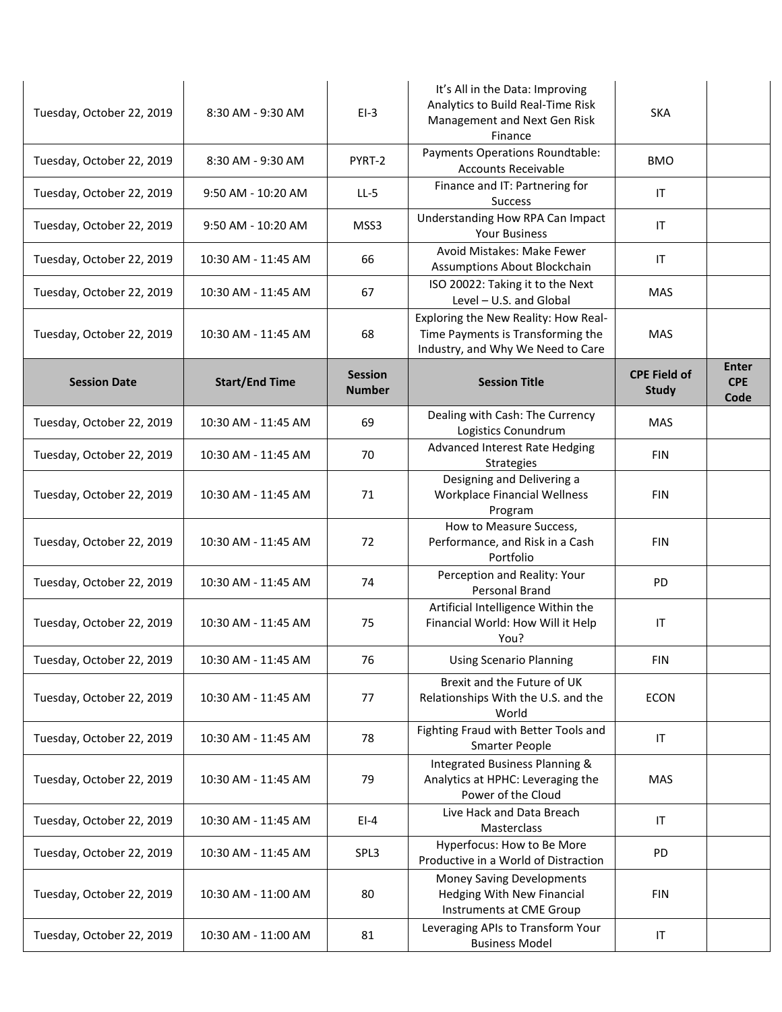|                           |                       |                                 | It's All in the Data: Improving<br>Analytics to Build Real-Time Risk                                           |                                     |                                    |
|---------------------------|-----------------------|---------------------------------|----------------------------------------------------------------------------------------------------------------|-------------------------------------|------------------------------------|
| Tuesday, October 22, 2019 | 8:30 AM - 9:30 AM     | $EI-3$                          | Management and Next Gen Risk<br>Finance                                                                        | <b>SKA</b>                          |                                    |
| Tuesday, October 22, 2019 | 8:30 AM - 9:30 AM     | PYRT-2                          | Payments Operations Roundtable:<br><b>Accounts Receivable</b>                                                  | <b>BMO</b>                          |                                    |
| Tuesday, October 22, 2019 | 9:50 AM - 10:20 AM    | $LL-5$                          | Finance and IT: Partnering for<br><b>Success</b>                                                               | IT                                  |                                    |
| Tuesday, October 22, 2019 | 9:50 AM - 10:20 AM    | MSS3                            | Understanding How RPA Can Impact<br><b>Your Business</b>                                                       | IT                                  |                                    |
| Tuesday, October 22, 2019 | 10:30 AM - 11:45 AM   | 66                              | Avoid Mistakes: Make Fewer<br>Assumptions About Blockchain                                                     | IT                                  |                                    |
| Tuesday, October 22, 2019 | 10:30 AM - 11:45 AM   | 67                              | ISO 20022: Taking it to the Next<br>Level - U.S. and Global                                                    | <b>MAS</b>                          |                                    |
| Tuesday, October 22, 2019 | 10:30 AM - 11:45 AM   | 68                              | Exploring the New Reality: How Real-<br>Time Payments is Transforming the<br>Industry, and Why We Need to Care | <b>MAS</b>                          |                                    |
| <b>Session Date</b>       | <b>Start/End Time</b> | <b>Session</b><br><b>Number</b> | <b>Session Title</b>                                                                                           | <b>CPE Field of</b><br><b>Study</b> | <b>Enter</b><br><b>CPE</b><br>Code |
| Tuesday, October 22, 2019 | 10:30 AM - 11:45 AM   | 69                              | Dealing with Cash: The Currency<br>Logistics Conundrum                                                         | <b>MAS</b>                          |                                    |
| Tuesday, October 22, 2019 | 10:30 AM - 11:45 AM   | 70                              | Advanced Interest Rate Hedging<br>Strategies                                                                   | <b>FIN</b>                          |                                    |
| Tuesday, October 22, 2019 | 10:30 AM - 11:45 AM   | 71                              | Designing and Delivering a<br>Workplace Financial Wellness<br>Program                                          | <b>FIN</b>                          |                                    |
| Tuesday, October 22, 2019 | 10:30 AM - 11:45 AM   | 72                              | How to Measure Success,<br>Performance, and Risk in a Cash<br>Portfolio                                        | <b>FIN</b>                          |                                    |
| Tuesday, October 22, 2019 | 10:30 AM - 11:45 AM   | 74                              | Perception and Reality: Your<br>Personal Brand                                                                 | <b>PD</b>                           |                                    |
| Tuesday, October 22, 2019 | 10:30 AM - 11:45 AM   | 75                              | Artificial Intelligence Within the<br>Financial World: How Will it Help<br>You?                                | IT                                  |                                    |
| Tuesday, October 22, 2019 | 10:30 AM - 11:45 AM   | 76                              | <b>Using Scenario Planning</b>                                                                                 | <b>FIN</b>                          |                                    |
| Tuesday, October 22, 2019 | 10:30 AM - 11:45 AM   | 77                              | Brexit and the Future of UK<br>Relationships With the U.S. and the<br>World                                    | <b>ECON</b>                         |                                    |
| Tuesday, October 22, 2019 | 10:30 AM - 11:45 AM   | 78                              | Fighting Fraud with Better Tools and<br><b>Smarter People</b>                                                  | IT                                  |                                    |
| Tuesday, October 22, 2019 | 10:30 AM - 11:45 AM   | 79                              | Integrated Business Planning &<br>Analytics at HPHC: Leveraging the<br>Power of the Cloud                      | <b>MAS</b>                          |                                    |
| Tuesday, October 22, 2019 | 10:30 AM - 11:45 AM   | $EI-4$                          | Live Hack and Data Breach<br>Masterclass                                                                       | IT                                  |                                    |
| Tuesday, October 22, 2019 | 10:30 AM - 11:45 AM   | SPL3                            | Hyperfocus: How to Be More<br>Productive in a World of Distraction                                             | PD                                  |                                    |
| Tuesday, October 22, 2019 | 10:30 AM - 11:00 AM   | 80                              | Money Saving Developments<br><b>Hedging With New Financial</b><br>Instruments at CME Group                     | <b>FIN</b>                          |                                    |
| Tuesday, October 22, 2019 | 10:30 AM - 11:00 AM   | 81                              | Leveraging APIs to Transform Your<br><b>Business Model</b>                                                     | $\ensuremath{\mathsf{IT}}\xspace$   |                                    |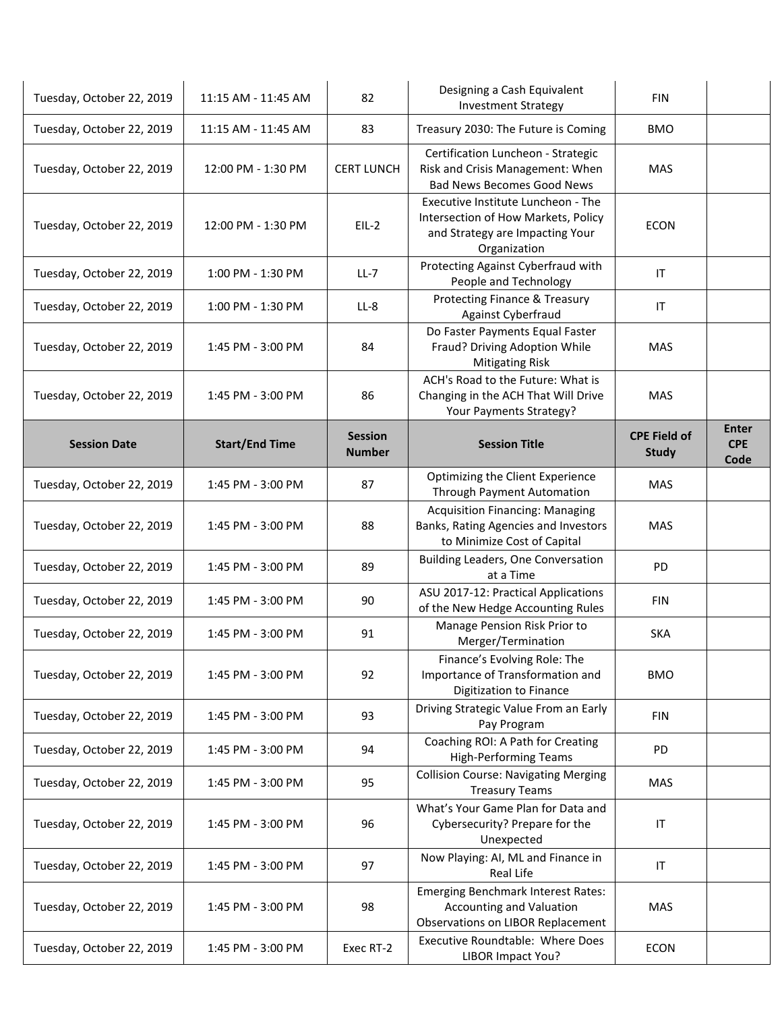| Tuesday, October 22, 2019 | 11:15 AM - 11:45 AM   | 82                              | Designing a Cash Equivalent<br><b>Investment Strategy</b>                                                                    | <b>FIN</b>                          |                                    |
|---------------------------|-----------------------|---------------------------------|------------------------------------------------------------------------------------------------------------------------------|-------------------------------------|------------------------------------|
| Tuesday, October 22, 2019 | 11:15 AM - 11:45 AM   | 83                              | Treasury 2030: The Future is Coming                                                                                          | <b>BMO</b>                          |                                    |
| Tuesday, October 22, 2019 | 12:00 PM - 1:30 PM    | <b>CERT LUNCH</b>               | Certification Luncheon - Strategic<br>Risk and Crisis Management: When<br><b>Bad News Becomes Good News</b>                  | <b>MAS</b>                          |                                    |
| Tuesday, October 22, 2019 | 12:00 PM - 1:30 PM    | $EIL-2$                         | Executive Institute Luncheon - The<br>Intersection of How Markets, Policy<br>and Strategy are Impacting Your<br>Organization | <b>ECON</b>                         |                                    |
| Tuesday, October 22, 2019 | 1:00 PM - 1:30 PM     | $LL-7$                          | Protecting Against Cyberfraud with<br>People and Technology                                                                  | IT                                  |                                    |
| Tuesday, October 22, 2019 | 1:00 PM - 1:30 PM     | $LL-8$                          | Protecting Finance & Treasury<br>Against Cyberfraud                                                                          | IT                                  |                                    |
| Tuesday, October 22, 2019 | 1:45 PM - 3:00 PM     | 84                              | Do Faster Payments Equal Faster<br>Fraud? Driving Adoption While<br><b>Mitigating Risk</b>                                   | MAS                                 |                                    |
| Tuesday, October 22, 2019 | 1:45 PM - 3:00 PM     | 86                              | ACH's Road to the Future: What is<br>Changing in the ACH That Will Drive<br>Your Payments Strategy?                          | <b>MAS</b>                          |                                    |
| <b>Session Date</b>       | <b>Start/End Time</b> | <b>Session</b><br><b>Number</b> | <b>Session Title</b>                                                                                                         | <b>CPE Field of</b><br><b>Study</b> | <b>Enter</b><br><b>CPE</b><br>Code |
| Tuesday, October 22, 2019 | 1:45 PM - 3:00 PM     | 87                              | Optimizing the Client Experience<br>Through Payment Automation                                                               | MAS                                 |                                    |
| Tuesday, October 22, 2019 | 1:45 PM - 3:00 PM     | 88                              | <b>Acquisition Financing: Managing</b><br>Banks, Rating Agencies and Investors<br>to Minimize Cost of Capital                | <b>MAS</b>                          |                                    |
| Tuesday, October 22, 2019 | 1:45 PM - 3:00 PM     | 89                              | Building Leaders, One Conversation<br>at a Time                                                                              | <b>PD</b>                           |                                    |
| Tuesday, October 22, 2019 | 1:45 PM - 3:00 PM     | 90                              | ASU 2017-12: Practical Applications<br>of the New Hedge Accounting Rules                                                     | <b>FIN</b>                          |                                    |
| Tuesday, October 22, 2019 | 1:45 PM - 3:00 PM     | 91                              | Manage Pension Risk Prior to<br>Merger/Termination                                                                           | <b>SKA</b>                          |                                    |
| Tuesday, October 22, 2019 | 1:45 PM - 3:00 PM     | 92                              | Finance's Evolving Role: The<br>Importance of Transformation and<br>Digitization to Finance                                  | <b>BMO</b>                          |                                    |
| Tuesday, October 22, 2019 | 1:45 PM - 3:00 PM     | 93                              | Driving Strategic Value From an Early<br>Pay Program                                                                         | <b>FIN</b>                          |                                    |
| Tuesday, October 22, 2019 | 1:45 PM - 3:00 PM     | 94                              | Coaching ROI: A Path for Creating<br><b>High-Performing Teams</b>                                                            | <b>PD</b>                           |                                    |
| Tuesday, October 22, 2019 | 1:45 PM - 3:00 PM     | 95                              | <b>Collision Course: Navigating Merging</b><br><b>Treasury Teams</b>                                                         | <b>MAS</b>                          |                                    |
| Tuesday, October 22, 2019 | 1:45 PM - 3:00 PM     | 96                              | What's Your Game Plan for Data and<br>Cybersecurity? Prepare for the<br>Unexpected                                           | IT                                  |                                    |
| Tuesday, October 22, 2019 | 1:45 PM - 3:00 PM     | 97                              | Now Playing: AI, ML and Finance in<br>Real Life                                                                              | IT                                  |                                    |
| Tuesday, October 22, 2019 | 1:45 PM - 3:00 PM     | 98                              | <b>Emerging Benchmark Interest Rates:</b><br><b>Accounting and Valuation</b><br>Observations on LIBOR Replacement            | <b>MAS</b>                          |                                    |
| Tuesday, October 22, 2019 | 1:45 PM - 3:00 PM     | Exec RT-2                       | Executive Roundtable: Where Does<br><b>LIBOR Impact You?</b>                                                                 | <b>ECON</b>                         |                                    |